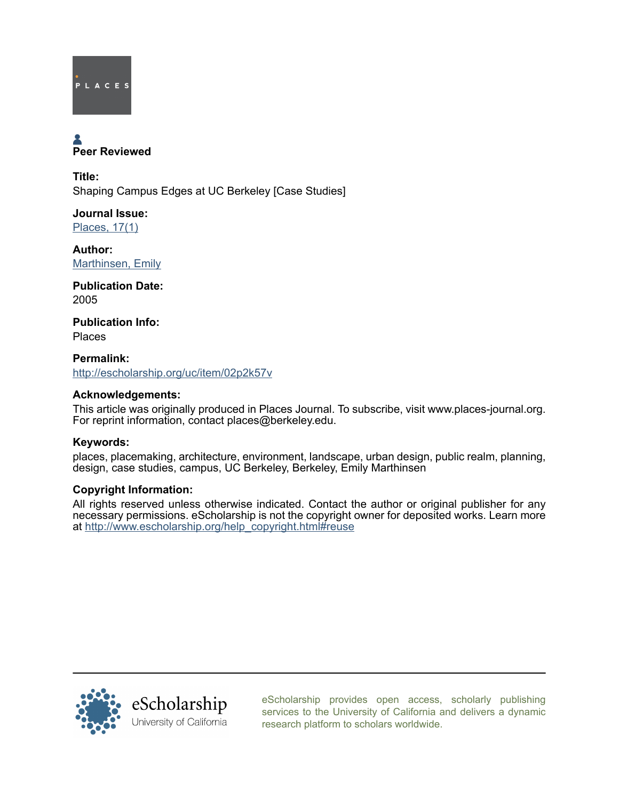

# Peer Reviewed

Title: Shaping Campus Edges at UC Berkeley [Case Studies]

Journal Issue: [Places, 17\(1\)](http://escholarship.org/uc/ced_places?volume=17;issue=1)

Author: [Marthinsen, Emily](http://escholarship.org/uc/search?creator=Marthinsen%2C%20Emily)

Publication Date: 2005

Publication Info: Places

Permalink: <http://escholarship.org/uc/item/02p2k57v>

# Acknowledgements:

This article was originally produced in Places Journal. To subscribe, visit www.places-journal.org. For reprint information, contact places@berkeley.edu.

# Keywords:

places, placemaking, architecture, environment, landscape, urban design, public realm, planning, design, case studies, campus, UC Berkeley, Berkeley, Emily Marthinsen

# Copyright Information:

All rights reserved unless otherwise indicated. Contact the author or original publisher for any necessary permissions. eScholarship is not the copyright owner for deposited works. Learn more at [http://www.escholarship.org/help\\_copyright.html#reuse](http://www.escholarship.org/help_copyright.html#reuse)



[eScholarship provides open access, scholarly publishing](http://escholarship.org) [services to the University of California and delivers a dynamic](http://escholarship.org) [research platform to scholars worldwide.](http://escholarship.org)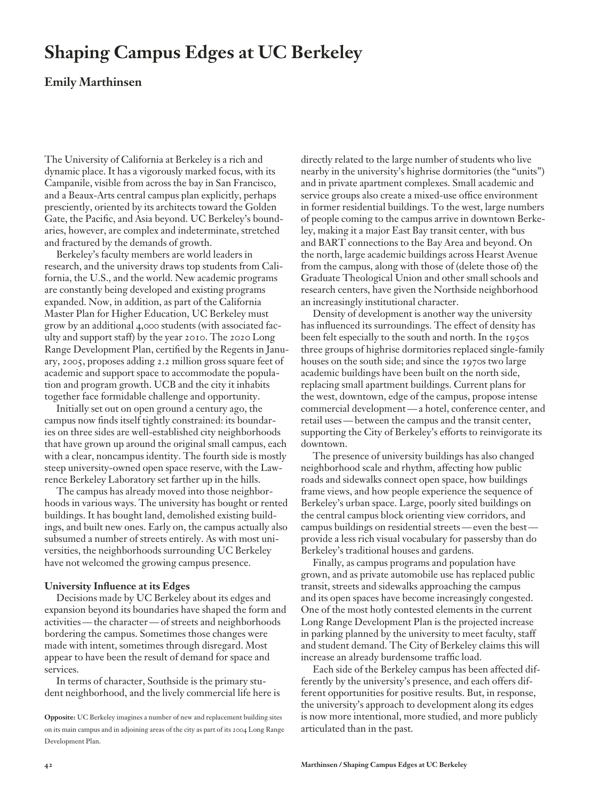# **Shaping Campus Edges at UC Berkeley**

### **Emily Marthinsen**

The University of California at Berkeley is a rich and dynamic place. It has a vigorously marked focus, with its Campanile, visible from across the bay in San Francisco, and a Beaux-Arts central campus plan explicitly, perhaps presciently, oriented by its architects toward the Golden Gate, the Pacific, and Asia beyond. UC Berkeley's boundaries, however, are complex and indeterminate, stretched and fractured by the demands of growth.

Berkeley's faculty members are world leaders in research, and the university draws top students from California, the U.S., and the world. New academic programs are constantly being developed and existing programs expanded. Now, in addition, as part of the California Master Plan for Higher Education, UC Berkeley must grow by an additional 4,000 students (with associated faculty and support staff) by the year 2010. The 2020 Long Range Development Plan, certified by the Regents in January, 2005, proposes adding 2.2 million gross square feet of academic and support space to accommodate the population and program growth. UCB and the city it inhabits together face formidable challenge and opportunity.

Initially set out on open ground a century ago, the campus now finds itself tightly constrained: its boundaries on three sides are well-established city neighborhoods that have grown up around the original small campus, each with a clear, noncampus identity. The fourth side is mostly steep university-owned open space reserve, with the Lawrence Berkeley Laboratory set farther up in the hills.

The campus has already moved into those neighborhoods in various ways. The university has bought or rented buildings. It has bought land, demolished existing buildings, and built new ones. Early on, the campus actually also subsumed a number of streets entirely. As with most universities, the neighborhoods surrounding UC Berkeley have not welcomed the growing campus presence.

#### **University Influence at its Edges**

Decisions made by UC Berkeley about its edges and expansion beyond its boundaries have shaped the form and activities — the character — of streets and neighborhoods bordering the campus. Sometimes those changes were made with intent, sometimes through disregard. Most appear to have been the result of demand for space and services.

In terms of character, Southside is the primary student neighborhood, and the lively commercial life here is directly related to the large number of students who live nearby in the university's highrise dormitories (the "units") and in private apartment complexes. Small academic and service groups also create a mixed-use office environment in former residential buildings. To the west, large numbers of people coming to the campus arrive in downtown Berkeley, making it a major East Bay transit center, with bus and BART connections to the Bay Area and beyond. On the north, large academic buildings across Hearst Avenue from the campus, along with those of (delete those of) the Graduate Theological Union and other small schools and research centers, have given the Northside neighborhood an increasingly institutional character.

Density of development is another way the university has influenced its surroundings. The effect of density has been felt especially to the south and north. In the 1950s three groups of highrise dormitories replaced single-family houses on the south side; and since the 1970s two large academic buildings have been built on the north side, replacing small apartment buildings. Current plans for the west, downtown, edge of the campus, propose intense commercial development — a hotel, conference center, and retail uses — between the campus and the transit center, supporting the City of Berkeley's efforts to reinvigorate its downtown.

The presence of university buildings has also changed neighborhood scale and rhythm, affecting how public roads and sidewalks connect open space, how buildings frame views, and how people experience the sequence of Berkeley's urban space. Large, poorly sited buildings on the central campus block orienting view corridors, and campus buildings on residential streets — even the best provide a less rich visual vocabulary for passersby than do Berkeley's traditional houses and gardens.

Finally, as campus programs and population have grown, and as private automobile use has replaced public transit, streets and sidewalks approaching the campus and its open spaces have become increasingly congested. One of the most hotly contested elements in the current Long Range Development Plan is the projected increase in parking planned by the university to meet faculty, staff and student demand. The City of Berkeley claims this will increase an already burdensome traffic load.

Each side of the Berkeley campus has been affected differently by the university's presence, and each offers different opportunities for positive results. But, in response, the university's approach to development along its edges is now more intentional, more studied, and more publicly articulated than in the past.

**Opposite:** UC Berkeley imagines a number of new and replacement building sites on its main campus and in adjoining areas of the city as part of its 2004 Long Range Development Plan.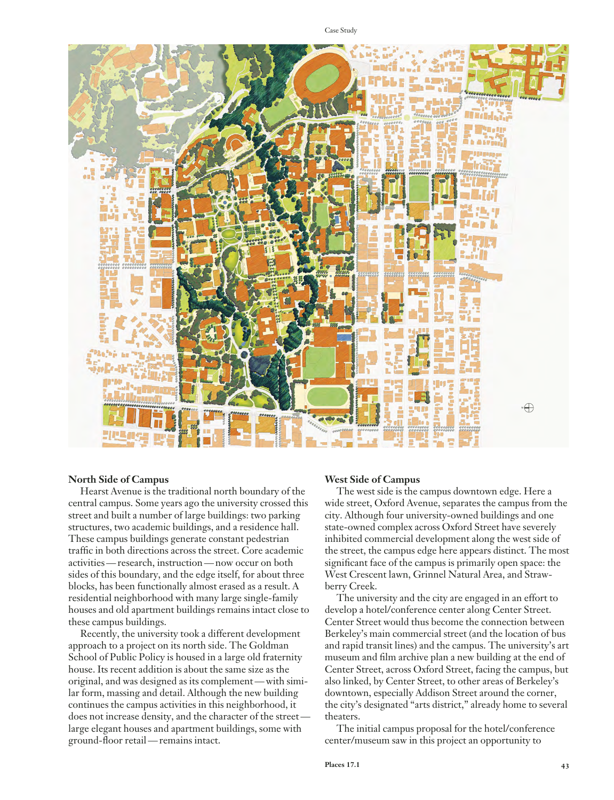Case Study



#### **North Side of Campus**

Hearst Avenue is the traditional north boundary of the central campus. Some years ago the university crossed this street and built a number of large buildings: two parking structures, two academic buildings, and a residence hall. These campus buildings generate constant pedestrian traffic in both directions across the street. Core academic activities — research, instruction — now occur on both sides of this boundary, and the edge itself, for about three blocks, has been functionally almost erased as a result. A residential neighborhood with many large single-family houses and old apartment buildings remains intact close to these campus buildings.

Recently, the university took a different development approach to a project on its north side. The Goldman School of Public Policy is housed in a large old fraternity house. Its recent addition is about the same size as the original, and was designed as its complement — with similar form, massing and detail. Although the new building continues the campus activities in this neighborhood, it does not increase density, and the character of the street large elegant houses and apartment buildings, some with ground-floor retail — remains intact.

#### **West Side of Campus**

The west side is the campus downtown edge. Here a wide street, Oxford Avenue, separates the campus from the city. Although four university-owned buildings and one state-owned complex across Oxford Street have severely inhibited commercial development along the west side of the street, the campus edge here appears distinct. The most significant face of the campus is primarily open space: the West Crescent lawn, Grinnel Natural Area, and Strawberry Creek.

The university and the city are engaged in an effort to develop a hotel/conference center along Center Street. Center Street would thus become the connection between Berkeley's main commercial street (and the location of bus and rapid transit lines) and the campus. The university's art museum and film archive plan a new building at the end of Center Street, across Oxford Street, facing the campus, but also linked, by Center Street, to other areas of Berkeley's downtown, especially Addison Street around the corner, the city's designated "arts district," already home to several theaters.

The initial campus proposal for the hotel/conference center/museum saw in this project an opportunity to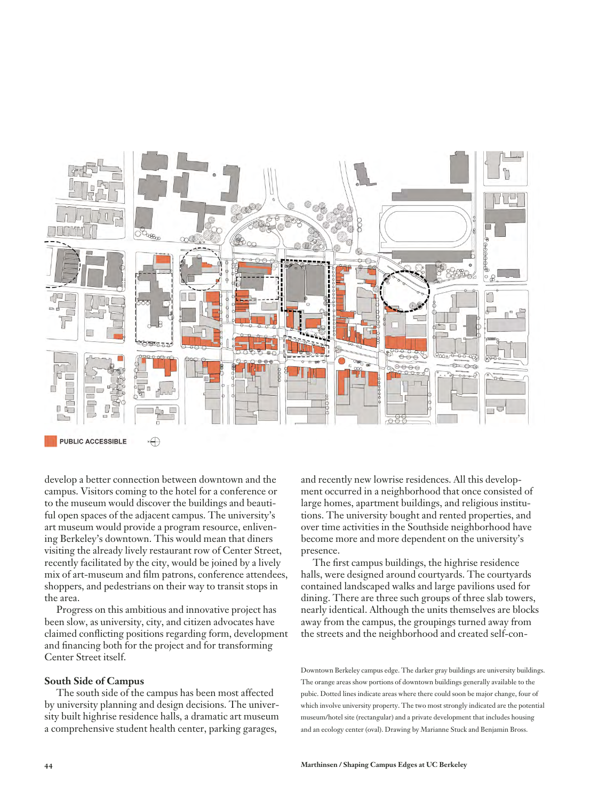

 $\sqrt{2}$ **PUBLIC ACCESSIBLE** 

develop a better connection between downtown and the campus. Visitors coming to the hotel for a conference or to the museum would discover the buildings and beautiful open spaces of the adjacent campus. The university's art museum would provide a program resource, enlivening Berkeley's downtown. This would mean that diners visiting the already lively restaurant row of Center Street, recently facilitated by the city, would be joined by a lively mix of art-museum and film patrons, conference attendees, shoppers, and pedestrians on their way to transit stops in the area.

Progress on this ambitious and innovative project has been slow, as university, city, and citizen advocates have claimed conflicting positions regarding form, development and financing both for the project and for transforming Center Street itself.

#### **South Side of Campus**

The south side of the campus has been most affected by university planning and design decisions. The university built highrise residence halls, a dramatic art museum a comprehensive student health center, parking garages,

and recently new lowrise residences. All this development occurred in a neighborhood that once consisted of large homes, apartment buildings, and religious institutions. The university bought and rented properties, and over time activities in the Southside neighborhood have become more and more dependent on the university's presence.

The first campus buildings, the highrise residence halls, were designed around courtyards. The courtyards contained landscaped walks and large pavilions used for dining. There are three such groups of three slab towers, nearly identical. Although the units themselves are blocks away from the campus, the groupings turned away from the streets and the neighborhood and created self-con-

Downtown Berkeley campus edge. The darker gray buildings are university buildings. The orange areas show portions of downtown buildings generally available to the pubic. Dotted lines indicate areas where there could soon be major change, four of which involve university property. The two most strongly indicated are the potential museum/hotel site (rectangular) and a private development that includes housing and an ecology center (oval). Drawing by Marianne Stuck and Benjamin Bross.